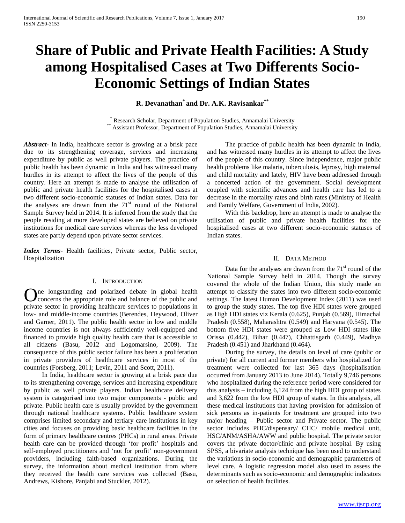# **Share of Public and Private Health Facilities: A Study among Hospitalised Cases at Two Differents Socio-Economic Settings of Indian States**

**R. Devanathan\* and Dr. A.K. Ravisankar\*\***

\* Research Scholar, Department of Population Studies, Annamalai University \*\* Assistant Professor, Department of Population Studies, Annamalai University

*Abstract***-** In India, healthcare sector is growing at a brisk pace due to its strengthening coverage, services and increasing expenditure by public as well private players. The practice of public health has been dynamic in India and has witnessed many hurdles in its attempt to affect the lives of the people of this country. Here an attempt is made to analyse the utilisation of public and private health facilities for the hospitalised cases at two different socio-economic statuses of Indian states. Data for the analyses are drawn from the 71<sup>st</sup> round of the National Sample Survey held in 2014. It is inferred from the study that the people residing at more developed states are believed on private institutions for medical care services whereas the less developed states are partly depend upon private sector services.

*Index Terms*- Health facilities, Private sector, Public sector, Hospitalization

### I. INTRODUCTION

One longstanding and polarized debate in global health concerns the appropriate role and balance of the public and concerns the appropriate role and balance of the public and private sector in providing healthcare services to populations in low- and middle-income countries (Berendes, Heywood, Oliver and Garner, 2011). The public health sector in low and middle income countries is not always sufficiently well-equipped and financed to provide high quality health care that is accessible to all citizens (Basu, 2012 and Logomarsino, 2009). The consequence of this public sector failure has been a proliferation in private providers of healthcare services in most of the countries (Forsberg, 2011; Levin, 2011 and Scott, 2011).

 In India, healthcare sector is growing at a brisk pace due to its strengthening coverage, services and increasing expenditure by public as well private players. Indian healthcare delivery system is categorised into two major components - public and private. Public health care is usually provided by the government through national healthcare systems. Public healthcare system comprises limited secondary and tertiary care institutions in key cities and focuses on providing basic healthcare facilities in the form of primary healthcare centres (PHCs) in rural areas. Private health care can be provided through 'for profit' hospitals and self-employed practitioners and 'not for profit' non-government providers, including faith-based organizations. During the survey, the information about medical institution from where they received the health care services was collected (Basu, Andrews, Kishore, Panjabi and Stuckler, 2012).

 The practice of public health has been dynamic in India, and has witnessed many hurdles in its attempt to affect the lives of the people of this country. Since independence, major public health problems like malaria, tuberculosis, leprosy, high maternal and child mortality and lately, HIV have been addressed through a concerted action of the government. Social development coupled with scientific advances and health care has led to a decrease in the mortality rates and birth rates (Ministry of Health and Family Welfare, Government of India, 2002).

 With this backdrop, here an attempt is made to analyse the utilisation of public and private health facilities for the hospitalised cases at two different socio-economic statuses of Indian states.

## II. DATA METHOD

Data for the analyses are drawn from the  $71<sup>st</sup>$  round of the National Sample Survey held in 2014. Though the survey covered the whole of the Indian Union, this study made an attempt to classify the states into two different socio-economic settings. The latest Human Development Index (2011) was used to group the study states. The top five HDI states were grouped as High HDI states viz Kerala (0.625), Punjab (0.569), Himachal Pradesh (0.558), Maharashtra (0.549) and Haryana (0.545). The bottom five HDI states were grouped as Low HDI states like Orissa (0.442), Bihar (0.447), Chhattisgarh (0.449), Madhya Pradesh (0.451) and Jharkhand (0.464).

 During the survey, the details on level of care (public or private) for all current and former members who hospitalized for treatment were collected for last 365 days (hospitalisation occurred from January 2013 to June 2014). Totally 9,746 persons who hospitalized during the reference period were considered for this analysis – including 6,124 from the high HDI group of states and 3,622 from the low HDI group of states. In this analysis, all these medical institutions that having provision for admission of sick persons as in-patients for treatment are grouped into two major heading – Public sector and Private sector. The public sector includes PHC/dispensary/ CHC/ mobile medical unit, HSC/ANM/ASHA/AWW and public hospital. The private sector covers the private doctor/clinic and private hospital. By using SPSS, a bivariate analysis technique has been used to understand the variations in socio-economic and demographic parameters of level care. A logistic regression model also used to assess the determinants such as socio-economic and demographic indicators on selection of health facilities.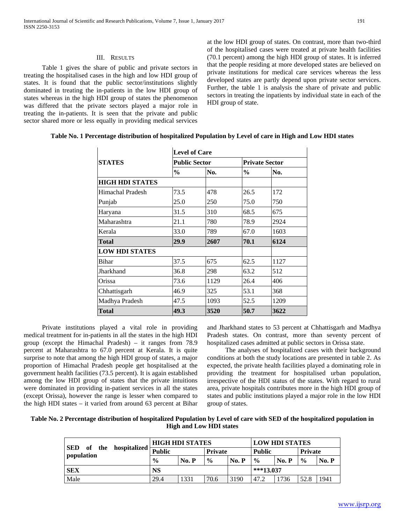### III. RESULTS

 Table 1 gives the share of public and private sectors in treating the hospitalised cases in the high and low HDI group of states. It is found that the public sector/institutions slightly dominated in treating the in-patients in the low HDI group of states whereas in the high HDI group of states the phenomenon was differed that the private sectors played a major role in treating the in-patients. It is seen that the private and public sector shared more or less equally in providing medical services at the low HDI group of states. On contrast, more than two-third of the hospitalised cases were treated at private health facilities (70.1 percent) among the high HDI group of states. It is inferred that the people residing at more developed states are believed on private institutions for medical care services whereas the less developed states are partly depend upon private sector services. Further, the table 1 is analysis the share of private and public sectors in treating the inpatients by individual state in each of the HDI group of state.

|                        | <b>Level of Care</b> |      |               |                       |  |  |  |  |  |
|------------------------|----------------------|------|---------------|-----------------------|--|--|--|--|--|
| <b>STATES</b>          | <b>Public Sector</b> |      |               | <b>Private Sector</b> |  |  |  |  |  |
|                        | $\%$                 | No.  | $\frac{6}{6}$ | No.                   |  |  |  |  |  |
| <b>HIGH HDI STATES</b> |                      |      |               |                       |  |  |  |  |  |
| Himachal Pradesh       | 73.5                 | 478  | 26.5          | 172                   |  |  |  |  |  |
| Punjab                 | 25.0                 | 250  | 75.0          | 750                   |  |  |  |  |  |
| Haryana                | 31.5                 | 310  | 68.5          | 675                   |  |  |  |  |  |
| Maharashtra            | 21.1                 | 780  | 78.9          | 2924                  |  |  |  |  |  |
| Kerala                 | 33.0                 | 789  | 67.0          | 1603                  |  |  |  |  |  |
| <b>Total</b>           | 29.9                 | 2607 | 70.1          | 6124                  |  |  |  |  |  |
| <b>LOW HDI STATES</b>  |                      |      |               |                       |  |  |  |  |  |
| <b>Bihar</b>           | 37.5                 | 675  | 62.5          | 1127                  |  |  |  |  |  |
| Jharkhand              | 36.8                 | 298  | 63.2          | 512                   |  |  |  |  |  |
| Orissa                 | 73.6                 | 1129 | 26.4          | 406                   |  |  |  |  |  |
| Chhattisgarh           | 46.9                 | 325  | 53.1          | 368                   |  |  |  |  |  |
| Madhya Pradesh         | 47.5                 | 1093 | 52.5          | 1209                  |  |  |  |  |  |
| <b>Total</b>           | 49.3                 | 3520 | 50.7          | 3622                  |  |  |  |  |  |

# **Table No. 1 Percentage distribution of hospitalized Population by Level of care in High and Low HDI states**

 Private institutions played a vital role in providing medical treatment for in-patients in all the states in the high HDI group (except the Himachal Pradesh) – it ranges from 78.9 percent at Maharashtra to 67.0 percent at Kerala. It is quite surprise to note that among the high HDI group of states, a major proportion of Himachal Pradesh people get hospitalised at the government health facilities (73.5 percent). It is again established among the low HDI group of states that the private intuitions were dominated in providing in-patient services in all the states (except Orissa), however the range is lesser when compared to the high HDI states – it varied from around 63 percent at Bihar

and Jharkhand states to 53 percent at Chhattisgarh and Madhya Pradesh states. On contrast, more than seventy percent of hospitalized cases admitted at public sectors in Orissa state.

 The analyses of hospitalized cases with their background conditions at both the study locations are presented in table 2. As expected, the private health facilities played a dominating role in providing the treatment for hospitalised urban population, irrespective of the HDI status of the states. With regard to rural area, private hospitals contributes more in the high HDI group of states and public institutions played a major role in the low HDI group of states.

**Table No. 2 Percentage distribution of hospitalized Population by Level of care with SED of the hospitalized population in High and Low HDI states**

| <b>SED</b><br>hospitalized<br>the<br>of<br>population |               | <b>HIGH HDI STATES</b> |               |                |               | <b>LOW HDI STATES</b> |               |                |  |
|-------------------------------------------------------|---------------|------------------------|---------------|----------------|---------------|-----------------------|---------------|----------------|--|
|                                                       | <b>Public</b> |                        |               | <b>Private</b> |               | <b>Public</b>         |               | <b>Private</b> |  |
|                                                       | $\frac{0}{0}$ | No. P                  | $\frac{0}{0}$ | No. P          | $\frac{0}{0}$ | No. P                 | $\frac{0}{0}$ | No. P          |  |
| <b>SEX</b>                                            | <b>NS</b>     |                        |               |                | $***13.037$   |                       |               |                |  |
| Male                                                  | 29.4          | 1331                   | 70.6          | 3190           | 47.2          | 1736                  | 52.8          | 1941           |  |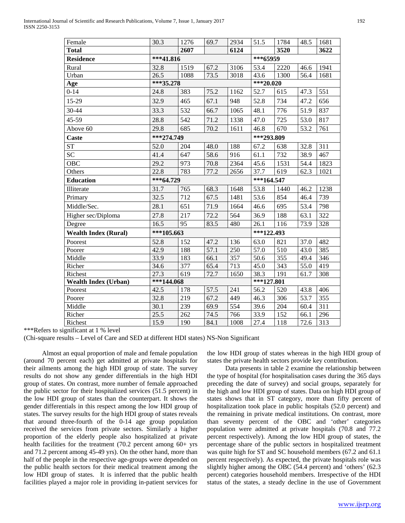| Female                      | 30.3         | 1276         | 69.7 | 2934 | 51.5                | 1784 | 48.5 | 1681 |  |
|-----------------------------|--------------|--------------|------|------|---------------------|------|------|------|--|
| <b>Total</b>                |              | 2607         |      | 6124 |                     | 3520 |      | 3622 |  |
| <b>Residence</b>            | ***41.816    |              |      |      | ***65959            |      |      |      |  |
| Rural                       | 32.8         | 1519         | 67.2 | 3106 | 53.4                | 2220 | 46.6 | 1941 |  |
| Urban                       | 26.5         | 1088         | 73.5 | 3018 | 43.6                | 1300 | 56.4 | 1681 |  |
| Age                         | ***35.278    |              |      |      | ***20.020           |      |      |      |  |
| $0 - 14$                    | 24.8         | 383          | 75.2 | 1162 | 52.7                | 615  | 47.3 | 551  |  |
| 15-29                       | 32.9         | 465          | 67.1 | 948  | 52.8                | 734  | 47.2 | 656  |  |
| 30-44                       | 33.3         | 532          | 66.7 | 1065 | 48.1                | 776  | 51.9 | 837  |  |
| 45-59                       | 28.8         | 542          | 71.2 | 1338 | 47.0                | 725  | 53.0 | 817  |  |
| Above 60                    | 29.8         | 685          | 70.2 | 1611 | 46.8                | 670  | 53.2 | 761  |  |
| Caste                       | $***274.749$ |              |      |      | ***293.809          |      |      |      |  |
| <b>ST</b>                   | 52.0         | 204          | 48.0 | 188  | 67.2                | 638  | 32.8 | 311  |  |
| <b>SC</b>                   | 41.4         | 647          | 58.6 | 916  | 61.1                | 732  | 38.9 | 467  |  |
| <b>OBC</b>                  | 29.2         | 973          | 70.8 | 2364 | 45.6                | 1531 | 54.4 | 1823 |  |
| Others                      | 22.8         | 783          | 77.2 | 2656 | 37.7                | 619  | 62.3 | 1021 |  |
| <b>Education</b>            | ***64.729    | $***164.547$ |      |      |                     |      |      |      |  |
| Illiterate                  | 31.7         | 765          | 68.3 | 1648 | 53.8                | 1440 | 46.2 | 1238 |  |
| Primary                     | 32.5         | 712          | 67.5 | 1481 | 53.6                | 854  | 46.4 | 739  |  |
| Middle/Sec.                 | 28.1         | 651          | 71.9 | 1664 | 46.6                | 695  | 53.4 | 798  |  |
| Higher sec/Diploma          | 27.8         | 217          | 72.2 | 564  | 36.9                | 188  | 63.1 | 322  |  |
| Degree                      | 16.5         | 95           | 83.5 | 480  | 26.1                | 116  | 73.9 | 328  |  |
| <b>Wealth Index (Rural)</b> | ***105.663   |              |      |      | ***122.493          |      |      |      |  |
| Poorest                     | 52.8         | 152          | 47.2 | 136  | 63.0                | 821  | 37.0 | 482  |  |
| Poorer                      | 42.9         | 188          | 57.1 | 250  | 57.0                | 510  | 43.0 | 385  |  |
| Middle                      | 33.9         | 183          | 66.1 | 357  | 50.6                | 355  | 49.4 | 346  |  |
| Richer                      | 34.6         | 377          | 65.4 | 713  | 45.0                | 343  | 55.0 | 419  |  |
| Richest                     | 27.3         | 619          | 72.7 | 1650 | 38.3                | 191  | 61.7 | 308  |  |
| <b>Wealth Index (Urban)</b> | $***144.068$ |              |      |      | $\sqrt{***}127.801$ |      |      |      |  |
| Poorest                     | 42.5         | 178          | 57.5 | 241  | 56.2                | 520  | 43.8 | 406  |  |
| Poorer                      | 32.8         | 219          | 67.2 | 449  | 46.3                | 306  | 53.7 | 355  |  |
| Middle                      | 30.1         | 239          | 69.9 | 554  | 39.6                | 204  | 60.4 | 311  |  |
| Richer                      | 25.5         | 262          | 74.5 | 766  | 33.9                | 152  | 66.1 | 296  |  |
| Richest                     | 15.9         | 190          | 84.1 | 1008 | 27.4                | 118  | 72.6 | 313  |  |

\*\*\*Refers to significant at 1 % level

(Chi-square results – Level of Care and SED at different HDI states) NS-Non Significant

 Almost an equal proportion of male and female population (around 70 percent each) get admitted at private hospitals for their ailments among the high HDI group of state. The survey results do not show any gender differentials in the high HDI group of states. On contrast, more number of female approached the public sector for their hospitalized services (51.5 percent) in the low HDI group of states than the counterpart. It shows the gender differentials in this respect among the low HDI group of states. The survey results for the high HDI group of states reveals that around three-fourth of the 0-14 age group population received the services from private sectors. Similarly a higher proportion of the elderly people also hospitalized at private health facilities for the treatment (70.2 percent among 60+ yrs and 71.2 percent among 45-49 yrs). On the other hand, more than half of the people in the respective age-groups were depended on the public health sectors for their medical treatment among the low HDI group of states. It is inferred that the public health facilities played a major role in providing in-patient services for

the low HDI group of states whereas in the high HDI group of states the private health sectors provide key contribution.

 Data presents in table 2 examine the relationship between the type of hospital (for hospitalisation cases during the 365 days preceding the date of survey) and social groups, separately for the high and low HDI group of states. Data on high HDI group of states shows that in ST category, more than fifty percent of hospitalization took place in public hospitals (52.0 percent) and the remaining in private medical institutions. On contrast, more than seventy percent of the OBC and 'other' categories population were admitted at private hospitals (70.8 and 77.2 percent respectively). Among the low HDI group of states, the percentage share of the public sectors in hospitalized treatment was quite high for ST and SC household members (67.2 and 61.1 percent respectively). As expected, the private hospitals role was slightly higher among the OBC (54.4 percent) and 'others' (62.3 percent) categories household members. Irrespective of the HDI status of the states, a steady decline in the use of Government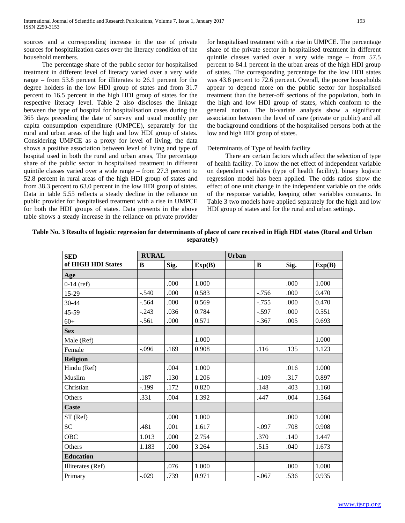sources and a corresponding increase in the use of private sources for hospitalization cases over the literacy condition of the household members.

 The percentage share of the public sector for hospitalised treatment in different level of literacy varied over a very wide range – from 53.8 percent for illiterates to 26.1 percent for the degree holders in the low HDI group of states and from 31.7 percent to 16.5 percent in the high HDI group of states for the respective literacy level. Table 2 also discloses the linkage between the type of hospital for hospitalisation cases during the 365 days preceding the date of survey and usual monthly per capita consumption expenditure (UMPCE), separately for the rural and urban areas of the high and low HDI group of states. Considering UMPCE as a proxy for level of living, the data shows a positive association between level of living and type of hospital used in both the rural and urban areas, The percentage share of the public sector in hospitalised treatment in different quintile classes varied over a wide range – from 27.3 percent to 52.8 percent in rural areas of the high HDI group of states and from 38.3 percent to 63.0 percent in the low HDI group of states. Data in table 5.55 reflects a steady decline in the reliance on public provider for hospitalised treatment with a rise in UMPCE for both the HDI groups of states. Data presents in the above table shows a steady increase in the reliance on private provider

for hospitalised treatment with a rise in UMPCE. The percentage share of the private sector in hospitalised treatment in different quintile classes varied over a very wide range – from 57.5 percent to 84.1 percent in the urban areas of the high HDI group of states. The corresponding percentage for the low HDI states was 43.8 percent to 72.6 percent. Overall, the poorer households appear to depend more on the public sector for hospitalised treatment than the better-off sections of the population, both in the high and low HDI group of states, which conform to the general notion. The bi-variate analysis show a significant association between the level of care (private or public) and all the background conditions of the hospitalised persons both at the low and high HDI group of states.

### Determinants of Type of health facility

 There are certain factors which affect the selection of type of health facility. To know the net effect of independent variable on dependent variables (type of health facility), binary logistic regression model has been applied. The odds ratios show the effect of one unit change in the independent variable on the odds of the response variable, keeping other variables constants. In Table 3 two models have applied separately for the high and low HDI group of states and for the rural and urban settings.

| <b>SED</b>         | <b>RURAL</b> |      |        | <b>Urban</b> |          |      |        |  |
|--------------------|--------------|------|--------|--------------|----------|------|--------|--|
| of HIGH HDI States | B            | Sig. | Exp(B) |              | B        | Sig. | Exp(B) |  |
| Age                |              |      |        |              |          |      |        |  |
| $0-14$ (ref)       |              | .000 | 1.000  |              |          | .000 | 1.000  |  |
| 15-29              | $-.540$      | .000 | 0.583  |              | $-0.756$ | .000 | 0.470  |  |
| 30-44              | $-.564$      | .000 | 0.569  |              | $-0.755$ | .000 | 0.470  |  |
| 45-59              | $-.243$      | .036 | 0.784  |              | $-.597$  | .000 | 0.551  |  |
| $60+$              | $-.561$      | .000 | 0.571  |              | $-.367$  | .005 | 0.693  |  |
| <b>Sex</b>         |              |      |        |              |          |      |        |  |
| Male (Ref)         |              |      | 1.000  |              |          |      | 1.000  |  |
| Female             | $-.096$      | .169 | 0.908  |              | .116     | .135 | 1.123  |  |
| <b>Religion</b>    |              |      |        |              |          |      |        |  |
| Hindu (Ref)        |              | .004 | 1.000  |              |          | .016 | 1.000  |  |
| Muslim             | .187         | .130 | 1.206  |              | $-.109$  | .317 | 0.897  |  |
| Christian          | $-.199$      | .172 | 0.820  |              | .148     | .403 | 1.160  |  |
| Others             | .331         | .004 | 1.392  |              | .447     | .004 | 1.564  |  |
| <b>Caste</b>       |              |      |        |              |          |      |        |  |
| $ST$ (Ref)         |              | .000 | 1.000  |              |          | .000 | 1.000  |  |
| SC <sub>1</sub>    | .481         | .001 | 1.617  |              | $-.097$  | .708 | 0.908  |  |
| <b>OBC</b>         | 1.013        | .000 | 2.754  |              | .370     | .140 | 1.447  |  |
| Others             | 1.183        | .000 | 3.264  |              | .515     | .040 | 1.673  |  |
| <b>Education</b>   |              |      |        |              |          |      |        |  |
| Illiterates (Ref)  |              | .076 | 1.000  |              |          | .000 | 1.000  |  |
| Primary            | $-.029$      | .739 | 0.971  |              | $-.067$  | .536 | 0.935  |  |

**Table No. 3 Results of logistic regression for determinants of place of care received in High HDI states (Rural and Urban separately)**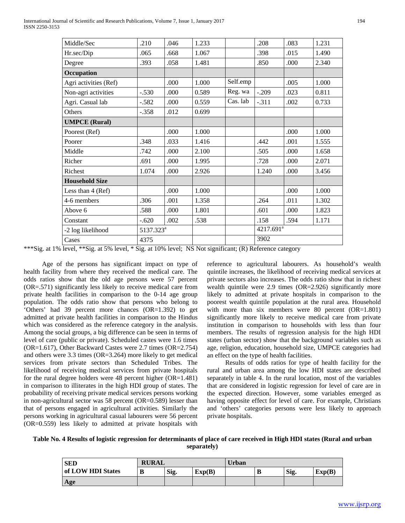| Middle/Sec            | .210                  | .046 | 1.233 |          | .208                  | .083 | 1.231 |
|-----------------------|-----------------------|------|-------|----------|-----------------------|------|-------|
| Hr.sec/Dip            | .065                  | .668 | 1.067 |          | .398                  | .015 | 1.490 |
| Degree                | .393                  | .058 | 1.481 |          | .850                  | .000 | 2.340 |
| Occupation            |                       |      |       |          |                       |      |       |
| Agri activities (Ref) |                       | .000 | 1.000 | Self.emp |                       | .005 | 1.000 |
| Non-agri activities   | $-.530$               | .000 | 0.589 | Reg. wa  | $-.209$               | .023 | 0.811 |
| Agri. Casual lab      | $-.582$               | .000 | 0.559 | Cas. lab | $-.311$               | .002 | 0.733 |
| Others                | $-.358$               | .012 | 0.699 |          |                       |      |       |
| <b>UMPCE</b> (Rural)  |                       |      |       |          |                       |      |       |
| Poorest (Ref)         |                       | .000 | 1.000 |          |                       | .000 | 1.000 |
| Poorer                | .348                  | .033 | 1.416 |          | .442                  | .001 | 1.555 |
| Middle                | .742                  | .000 | 2.100 |          | .505                  | .000 | 1.658 |
| Richer                | .691                  | .000 | 1.995 |          | .728                  | .000 | 2.071 |
| Richest               | 1.074                 | .000 | 2.926 |          | 1.240                 | .000 | 3.456 |
| <b>Household Size</b> |                       |      |       |          |                       |      |       |
| Less than $4$ (Ref)   |                       | .000 | 1.000 |          |                       | .000 | 1.000 |
| 4-6 members           | .306                  | .001 | 1.358 |          | .264                  | .011 | 1.302 |
| Above 6               | .588                  | .000 | 1.801 |          | .601                  | .000 | 1.823 |
| Constant              | $-.620$               | .002 | .538  |          | .158                  | .594 | 1.171 |
| -2 log likelihood     | 5137.323 <sup>a</sup> |      |       |          | 4217.691 <sup>a</sup> |      |       |
| Cases                 | 4375                  |      |       |          | 3902                  |      |       |

\*\*\*Sig. at 1% level, \*\*Sig. at 5% level, \* Sig. at 10% level; NS Not significant; (R) Reference category

 Age of the persons has significant impact on type of health facility from where they received the medical care. The odds ratios show that the old age persons were 57 percent (OR=.571) significantly less likely to receive medical care from private health facilities in comparison to the 0-14 age group population. The odds ratio show that persons who belong to 'Others' had 39 percent more chances (OR=1.392) to get admitted at private health facilities in comparison to the Hindus which was considered as the reference category in the analysis. Among the social groups, a big difference can be seen in terms of level of care (public or private). Scheduled castes were 1.6 times (OR=1.617), Other Backward Castes were 2.7 times (OR=2.754) and others were 3.3 times (OR=3.264) more likely to get medical services from private sectors than Scheduled Tribes. The likelihood of receiving medical services from private hospitals for the rural degree holders were 48 percent higher (OR=1.481) in comparison to illiterates in the high HDI group of states. The probability of receiving private medical services persons working in non-agricultural sector was 58 percent (OR=0.589) lesser than that of persons engaged in agricultural activities. Similarly the persons working in agricultural casual labourers were 56 percent (OR=0.559) less likely to admitted at private hospitals with

reference to agricultural labourers. As household's wealth quintile increases, the likelihood of receiving medical services at private sectors also increases. The odds ratio show that in richest wealth quintile were 2.9 times (OR=2.926) significantly more likely to admitted at private hospitals in comparison to the poorest wealth quintile population at the rural area. Household with more than six members were 80 percent (OR=1.801) significantly more likely to receive medical care from private institution in comparison to households with less than four members. The results of regression analysis for the high HDI states (urban sector) show that the background variables such as age, religion, education, household size, UMPCE categories had an effect on the type of health facilities.

 Results of odds ratios for type of health facility for the rural and urban area among the low HDI states are described separately in table 4. In the rural location, most of the variables that are considered in logistic regression for level of care are in the expected direction. However, some variables emerged as having opposite effect for level of care. For example, Christians and 'others' categories persons were less likely to approach private hospitals.

# **Table No. 4 Results of logistic regression for determinants of place of care received in High HDI states (Rural and urban separately)**

| <b>SED</b>        | <b>RURAL</b> |      |        | Urban |   |      |                            |  |
|-------------------|--------------|------|--------|-------|---|------|----------------------------|--|
| of LOW HDI States |              | Sig. | Exp(B) |       | В | Sig. | $\mathbf{Exp}(\mathbf{B})$ |  |
| Age               |              |      |        |       |   |      |                            |  |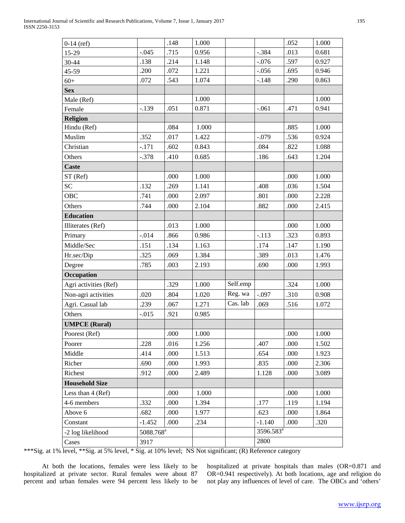| ×<br>۰,<br>۰,<br>۰.<br>٧<br>× |
|-------------------------------|
|-------------------------------|

| $0-14$ (ref)          |                       | .148 | 1.000 |          |                       | .052 | 1.000 |
|-----------------------|-----------------------|------|-------|----------|-----------------------|------|-------|
| 15-29                 | $-.045$               | .715 | 0.956 |          | $-.384$               | .013 | 0.681 |
| 30-44                 | .138                  | .214 | 1.148 |          | $-.076$               | .597 | 0.927 |
| 45-59                 | .200                  | .072 | 1.221 |          | $-.056$               | .695 | 0.946 |
| $60+$                 | .072                  | .543 | 1.074 |          | $-.148$               | .290 | 0.863 |
| <b>Sex</b>            |                       |      |       |          |                       |      |       |
| Male (Ref)            |                       |      | 1.000 |          |                       |      | 1.000 |
| Female                | $-.139$               | .051 | 0.871 |          | $-.061$               | .471 | 0.941 |
| <b>Religion</b>       |                       |      |       |          |                       |      |       |
| Hindu (Ref)           |                       | .084 | 1.000 |          |                       | .885 | 1.000 |
| Muslim                | .352                  | .017 | 1.422 |          | $-.079$               | .536 | 0.924 |
| Christian             | $-.171$               | .602 | 0.843 |          | .084                  | .822 | 1.088 |
| Others                | $-.378$               | .410 | 0.685 |          | .186                  | .643 | 1.204 |
| <b>Caste</b>          |                       |      |       |          |                       |      |       |
| ST (Ref)              |                       | .000 | 1.000 |          |                       | .000 | 1.000 |
| <b>SC</b>             | .132                  | .269 | 1.141 |          | .408                  | .036 | 1.504 |
| <b>OBC</b>            | .741                  | .000 | 2.097 |          | .801                  | .000 | 2.228 |
| Others                | .744                  | .000 | 2.104 |          | .882                  | .000 | 2.415 |
| <b>Education</b>      |                       |      |       |          |                       |      |       |
| Illiterates (Ref)     |                       | .013 | 1.000 |          |                       | .000 | 1.000 |
| Primary               | $-0.014$              | .866 | 0.986 |          | $-.113$               | .323 | 0.893 |
| Middle/Sec            | .151                  | .134 | 1.163 |          | .174                  | .147 | 1.190 |
| Hr.sec/Dip            | .325                  | .069 | 1.384 |          | .389                  | .013 | 1.476 |
| Degree                | .785                  | .003 | 2.193 |          | .690                  | .000 | 1.993 |
| Occupation            |                       |      |       |          |                       |      |       |
| Agri activities (Ref) |                       | .329 | 1.000 | Self.emp |                       | .324 | 1.000 |
| Non-agri activities   | .020                  | .804 | 1.020 | Reg. wa  | $-.097$               | .310 | 0.908 |
| Agri. Casual lab      | .239                  | .067 | 1.271 | Cas. lab | .069                  | .516 | 1.072 |
| Others                | $-0.015$              | .921 | 0.985 |          |                       |      |       |
| <b>UMPCE</b> (Rural)  |                       |      |       |          |                       |      |       |
| Poorest (Ref)         |                       | .000 | 1.000 |          |                       | .000 | 1.000 |
| Poorer                | .228                  | .016 | 1.256 |          | .407                  | .000 | 1.502 |
| Middle                | .414                  | .000 | 1.513 |          | .654                  | .000 | 1.923 |
| Richer                | .690                  | .000 | 1.993 |          | .835                  | .000 | 2.306 |
| Richest               | .912                  | .000 | 2.489 |          | 1.128                 | .000 | 3.089 |
| <b>Household Size</b> |                       |      |       |          |                       |      |       |
| Less than 4 (Ref)     |                       | .000 | 1.000 |          |                       | .000 | 1.000 |
| 4-6 members           | .332                  | .000 | 1.394 |          | .177                  | .119 | 1.194 |
| Above 6               | .682                  | .000 | 1.977 |          | .623                  | .000 | 1.864 |
| Constant              | $-1.452$              | .000 | .234  |          | $-1.140$              | .000 | .320  |
| -2 log likelihood     | 5088.768 <sup>a</sup> |      |       |          | 3596.583 <sup>a</sup> |      |       |
| Cases                 | 3917                  |      |       |          | 2800                  |      |       |
|                       |                       |      |       |          |                       |      |       |

\*\*\*Sig. at 1% level, \*\*Sig. at 5% level, \* Sig. at 10% level; NS Not significant; (R) Reference category

 At both the locations, females were less likely to be hospitalized at private sector. Rural females were about 87 percent and urban females were 94 percent less likely to be

hospitalized at private hospitals than males (OR=0.871 and OR=0.941 respectively). At both locations, age and religion do not play any influences of level of care. The OBCs and 'others'